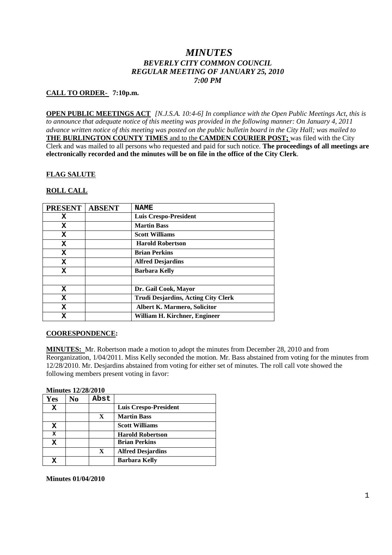# *MINUTES BEVERLY CITY COMMON COUNCIL REGULAR MEETING OF JANUARY 25, 2010 7:00 PM*

### **CALL TO ORDER- 7:10p.m.**

**OPEN PUBLIC MEETINGS ACT** *[N.J.S.A. 10:4-6] In compliance with the Open Public Meetings Act, this is to announce that adequate notice of this meeting was provided in the following manner: On January 4, 2011 advance written notice of this meeting was posted on the public bulletin board in the City Hall; was mailed to* **THE BURLINGTON COUNTY TIMES** and to the **CAMDEN COURIER POST;** was filed with the City Clerk and was mailed to all persons who requested and paid for such notice. **The proceedings of all meetings are electronically recorded and the minutes will be on file in the office of the City Clerk**.

### **FLAG SALUTE**

### **ROLL CALL**

| <b>PRESENT</b> | <b>ABSENT</b> | <b>NAME</b>                                |
|----------------|---------------|--------------------------------------------|
| х              |               | <b>Luis Crespo-President</b>               |
| x              |               | <b>Martin Bass</b>                         |
| X              |               | <b>Scott Williams</b>                      |
| X              |               | <b>Harold Robertson</b>                    |
| X              |               | <b>Brian Perkins</b>                       |
| X              |               | <b>Alfred Desjardins</b>                   |
| X              |               | <b>Barbara Kelly</b>                       |
|                |               |                                            |
| X              |               | Dr. Gail Cook, Mayor                       |
| x              |               | <b>Trudi Desjardins, Acting City Clerk</b> |
| X              |               | <b>Albert K. Marmero, Solicitor</b>        |
| x              |               | William H. Kirchner, Engineer              |

### **COORESPONDENCE:**

**MINUTES:** Mr. Robertson made a motion to adopt the minutes from December 28, 2010 and from Reorganization, 1/04/2011. Miss Kelly seconded the motion. Mr. Bass abstained from voting for the minutes from 12/28/2010. Mr. Desjardins abstained from voting for either set of minutes. The roll call vote showed the following members present voting in favor:

#### **Minutes 12/28/2010**

| Yes | N <sub>0</sub> | Abst |                              |
|-----|----------------|------|------------------------------|
| x   |                |      | <b>Luis Crespo-President</b> |
|     |                | X    | <b>Martin Bass</b>           |
| X   |                |      | <b>Scott Williams</b>        |
| X   |                |      | <b>Harold Robertson</b>      |
| x   |                |      | <b>Brian Perkins</b>         |
|     |                | X    | <b>Alfred Desjardins</b>     |
|     |                |      | <b>Barbara Kelly</b>         |

**Minutes 01/04/2010**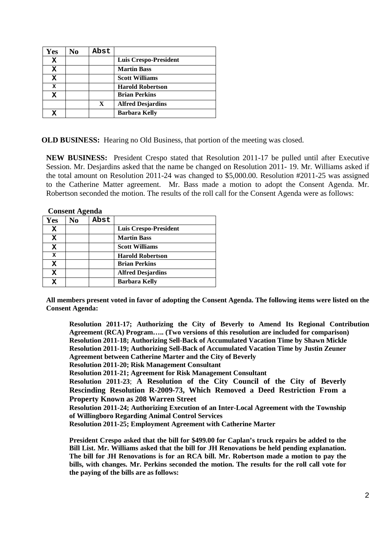| Yes | No | Abst        |                          |
|-----|----|-------------|--------------------------|
| x   |    |             | Luis Crespo-President    |
| x   |    |             | <b>Martin Bass</b>       |
| x   |    |             | <b>Scott Williams</b>    |
| X   |    |             | <b>Harold Robertson</b>  |
| x   |    |             | <b>Brian Perkins</b>     |
|     |    | $\mathbf x$ | <b>Alfred Desjardins</b> |
|     |    |             | <b>Barbara Kelly</b>     |

**OLD BUSINESS:** Hearing no Old Business, that portion of the meeting was closed.

**NEW BUSINESS:** President Crespo stated that Resolution 2011-17 be pulled until after Executive Session. Mr. Desjardins asked that the name be changed on Resolution 2011- 19. Mr. Williams asked if the total amount on Resolution 2011-24 was changed to \$5,000.00. Resolution #2011-25 was assigned to the Catherine Matter agreement. Mr. Bass made a motion to adopt the Consent Agenda. Mr. Robertson seconded the motion. The results of the roll call for the Consent Agenda were as follows:

|             | <b>Consent Agenda</b> |      |                              |  |  |
|-------------|-----------------------|------|------------------------------|--|--|
| Yes         | No                    | Abst |                              |  |  |
| х           |                       |      | <b>Luis Crespo-President</b> |  |  |
| х           |                       |      | <b>Martin Bass</b>           |  |  |
| X           |                       |      | <b>Scott Williams</b>        |  |  |
| $\mathbf x$ |                       |      | <b>Harold Robertson</b>      |  |  |
| X           |                       |      | <b>Brian Perkins</b>         |  |  |
| x           |                       |      | <b>Alfred Desjardins</b>     |  |  |
| x           |                       |      | <b>Barbara Kelly</b>         |  |  |

**All members present voted in favor of adopting the Consent Agenda. The following items were listed on the**

**Consent Agenda: Resolution 2011-17; Authorizing the City of Beverly to Amend Its Regional Contribution Agreement (RCA) Program….. (Two versions of this resolution are included for comparison)**

**Resolution 2011-18; Authorizing Sell-Back of Accumulated Vacation Time by Shawn Mickle Resolution 2011-19; Authorizing Sell-Back of Accumulated Vacation Time by Justin Zeuner Agreement between Catherine Marter and the City of Beverly**

**Resolution 2011-20; Risk Management Consultant**

**Resolution 2011-21; Agreement for Risk Management Consultant**

**Resolution 2011-23**; **A Resolution of the City Council of the City of Beverly Rescinding Resolution R-2009-73, Which Removed a Deed Restriction From a Property Known as 208 Warren Street**

**Resolution 2011-24; Authorizing Execution of an Inter-Local Agreement with the Township of Willingboro Regarding Animal Control Services**

**Resolution 2011-25; Employment Agreement with Catherine Marter**

**President Crespo asked that the bill for \$499.00 for Caplan's truck repairs be added to the Bill List. Mr. Williams asked that the bill for JH Renovations be held pending explanation. The bill for JH Renovations is for an RCA bill. Mr. Robertson made a motion to pay the bills, with changes. Mr. Perkins seconded the motion. The results for the roll call vote for the paying of the bills are as follows:**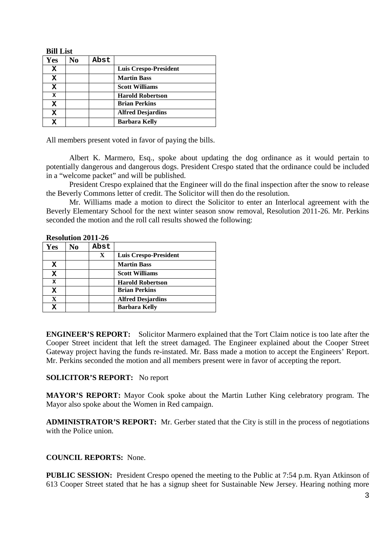| BIII LIST   |    |      |                          |
|-------------|----|------|--------------------------|
| Yes         | No | Abst |                          |
| x           |    |      | Luis Crespo-President    |
| X           |    |      | <b>Martin Bass</b>       |
| х           |    |      | <b>Scott Williams</b>    |
| $\mathbf x$ |    |      | <b>Harold Robertson</b>  |
| x           |    |      | <b>Brian Perkins</b>     |
| x           |    |      | <b>Alfred Desjardins</b> |
|             |    |      | <b>Barbara Kelly</b>     |
|             |    |      |                          |

All members present voted in favor of paying the bills.

Albert K. Marmero, Esq., spoke about updating the dog ordinance as it would pertain to potentially dangerous and dangerous dogs. President Crespo stated that the ordinance could be included in a "welcome packet" and will be published.

President Crespo explained that the Engineer will do the final inspection after the snow to release the Beverly Commons letter of credit. The Solicitor will then do the resolution.

Mr. Williams made a motion to direct the Solicitor to enter an Interlocal agreement with the Beverly Elementary School for the next winter season snow removal, Resolution 2011-26. Mr. Perkins seconded the motion and the roll call results showed the following:

|  | <b>Resolution 2011-26</b> |  |
|--|---------------------------|--|
|  |                           |  |

**Bill Fig.** 

| Yes         | No | Abst        |                          |
|-------------|----|-------------|--------------------------|
|             |    | $\mathbf X$ | Luis Crespo-President    |
| х           |    |             | <b>Martin Bass</b>       |
| X           |    |             | <b>Scott Williams</b>    |
| X           |    |             | <b>Harold Robertson</b>  |
| х           |    |             | <b>Brian Perkins</b>     |
| $\mathbf X$ |    |             | <b>Alfred Desjardins</b> |
| x           |    |             | <b>Barbara Kelly</b>     |

**ENGINEER'S REPORT:** Solicitor Marmero explained that the Tort Claim notice is too late after the Cooper Street incident that left the street damaged. The Engineer explained about the Cooper Street Gateway project having the funds re-instated. Mr. Bass made a motion to accept the Engineers' Report. Mr. Perkins seconded the motion and all members present were in favor of accepting the report.

# **SOLICITOR'S REPORT:** No report

**MAYOR'S REPORT:** Mayor Cook spoke about the Martin Luther King celebratory program. The Mayor also spoke about the Women in Red campaign.

**ADMINISTRATOR'S REPORT:** Mr. Gerber stated that the City is still in the process of negotiations with the Police union.

# **COUNCIL REPORTS:** None.

**PUBLIC SESSION:** President Crespo opened the meeting to the Public at 7:54 p.m. Ryan Atkinson of 613 Cooper Street stated that he has a signup sheet for Sustainable New Jersey. Hearing nothing more